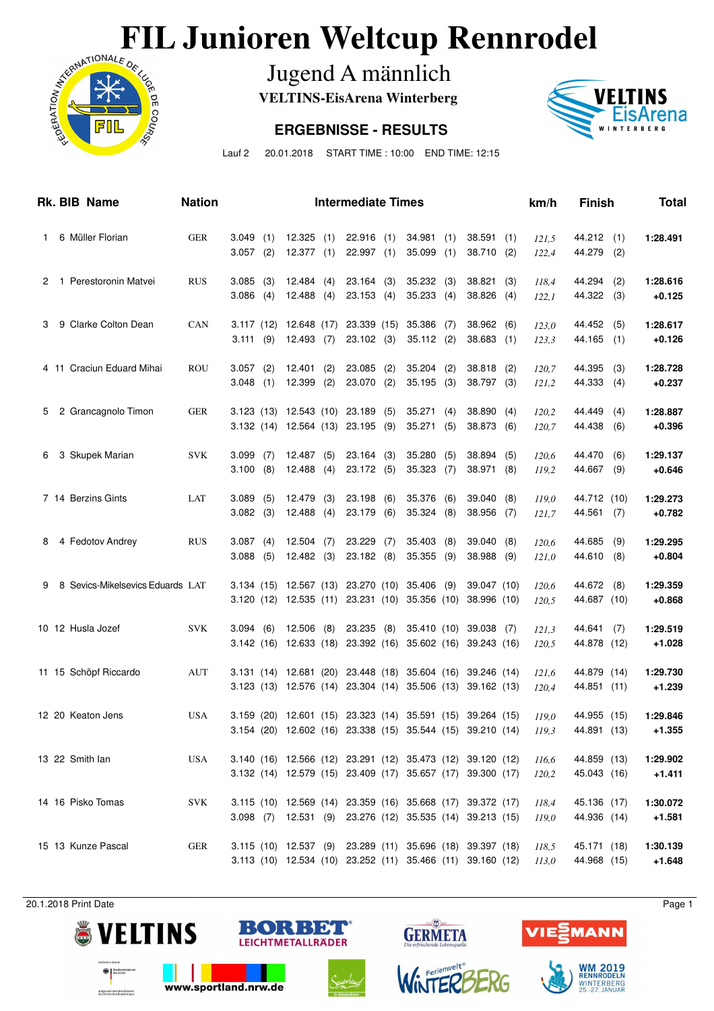# **FIL Junioren Weltcup Rennrodel**<br>Jugend A männlich<br>ERGEBNISSE - RESULTS



Jugend A männlich

**VELTINS-EisArena Winterberg**

#### **ERGEBNISSE - RESULTS**



Lauf 2 20.01.2018 START TIME : 10:00 END TIME: 12:15

|              |  | Rk. BIB Name                     | <b>Nation</b> |                         |            |                        |            | <b>Intermediate Times</b>                                              |     |                        |            |                                                                                                                          |            | km/h           | <b>Finish</b>              |            | Total                |
|--------------|--|----------------------------------|---------------|-------------------------|------------|------------------------|------------|------------------------------------------------------------------------|-----|------------------------|------------|--------------------------------------------------------------------------------------------------------------------------|------------|----------------|----------------------------|------------|----------------------|
| $\mathbf{1}$ |  | 6 Müller Florian                 | <b>GER</b>    | 3.049(1)<br>$3.057$ (2) |            | 12.325(1)<br>12.377(1) |            | $22.916$ (1)<br>22.997(1)                                              |     | 34.981<br>35.099       | (1)<br>(1) | 38.591<br>38.710                                                                                                         | (1)<br>(2) | 121,5<br>122,4 | 44.212<br>44.279           | (1)<br>(2) | 1:28.491             |
| 2            |  | 1 Perestoronin Matvei            | <b>RUS</b>    | 3.085<br>3.086          | (3)<br>(4) | 12.484<br>12.488       | (4)<br>(4) | $23.164$ (3)<br>23.153(4)                                              |     | 35.232<br>35.233       | (3)<br>(4) | 38.821<br>38.826                                                                                                         | (3)<br>(4) | 118,4<br>122,1 | 44.294<br>44.322           | (2)<br>(3) | 1:28.616<br>$+0.125$ |
| 3            |  | 9 Clarke Colton Dean             | CAN           | 3.111(9)                |            | 12.493(7)              |            | 3.117 (12) 12.648 (17) 23.339 (15)<br>$23.102$ (3)                     |     | 35.386<br>$35.112$ (2) | (7)        | 38.962<br>$38.683$ (1)                                                                                                   | (6)        | 123,0<br>123,3 | 44.452<br>44.165           | (5)<br>(1) | 1:28.617<br>$+0.126$ |
|              |  | 4 11 Craciun Eduard Mihai        | <b>ROU</b>    | $3.057$ (2)<br>3.048    | (1)        | 12.401<br>12.399       | (2)<br>(2) | 23.085<br>23.070 (2)                                                   | (2) | 35.204<br>35.195       | (2)<br>(3) | 38.818<br>38.797 (3)                                                                                                     | (2)        | 120,7<br>121,2 | 44.395<br>44.333           | (3)<br>(4) | 1:28.728<br>$+0.237$ |
| 5            |  | 2 Grancagnolo Timon              | <b>GER</b>    |                         |            |                        |            | 3.123 (13) 12.543 (10) 23.189 (5)<br>3.132 (14) 12.564 (13) 23.195 (9) |     | 35.271<br>35.271       | (4)<br>(5) | 38.890<br>38.873 (6)                                                                                                     | (4)        | 120,2<br>120,7 | 44.449<br>44.438           | (4)<br>(6) | 1:28.887<br>$+0.396$ |
| 6            |  | 3 Skupek Marian                  | <b>SVK</b>    | 3.099<br>3.100          | (7)<br>(8) | 12.487<br>12.488       | (5)<br>(4) | $23.164$ (3)<br>23.172 (5)                                             |     | 35.280<br>35.323       | (5)<br>(7) | 38.894<br>38.971                                                                                                         | (5)<br>(8) | 120,6<br>119,2 | 44.470<br>44.667           | (6)<br>(9) | 1:29.137<br>$+0.646$ |
|              |  | 7 14 Berzins Gints               | LAT           | 3.089<br>3.082(3)       | (5)        | 12.479<br>12.488       | (3)<br>(4) | 23.198<br>23.179 (6)                                                   | (6) | 35.376<br>35.324       | (6)<br>(8) | 39.040<br>38.956                                                                                                         | (8)<br>(7) | 119,0<br>121,7 | 44.712 (10)<br>44.561      | (7)        | 1:29.273<br>$+0.782$ |
| 8            |  | 4 Fedotov Andrey                 | <b>RUS</b>    | 3.087<br>3.088          | (4)<br>(5) | $12.504$ (7)<br>12.482 | (3)        | 23.229<br>23.182(8)                                                    | (7) | 35.403<br>35.355       | (8)<br>(9) | 39.040<br>38.988                                                                                                         | (8)<br>(9) | 120,6<br>121,0 | 44.685<br>44.610           | (9)<br>(8) | 1:29.295<br>$+0.804$ |
| 9            |  | 8 Sevics-Mikelsevics Eduards LAT |               |                         |            | 3.120 (12) 12.535 (11) |            | 3.134 (15) 12.567 (13) 23.270 (10)<br>23.231 (10)                      |     | 35.406<br>35.356 (10)  | (9)        | 39.047 (10)<br>38.996 (10)                                                                                               |            | 120,6<br>120,5 | 44.672<br>44.687 (10)      | (8)        | 1:29.359<br>$+0.868$ |
|              |  | 10 12 Husla Jozef                | <b>SVK</b>    | 3.094                   | (6)        | 12.506                 | (8)        | 23.235<br>3.142 (16) 12.633 (18) 23.392 (16)                           | (8) | 35.410 (10)            |            | 39.038<br>35.602 (16) 39.243 (16)                                                                                        | (7)        | 121,3<br>120,5 | 44.641<br>44.878 (12)      | (7)        | 1:29.519<br>$+1.028$ |
|              |  | 11 15 Schöpf Riccardo            | <b>AUT</b>    |                         |            |                        |            | 3.131 (14) 12.681 (20) 23.448 (18)                                     |     |                        |            | 35.604 (16) 39.246 (14)<br>3.123 (13) 12.576 (14) 23.304 (14) 35.506 (13) 39.162 (13)                                    |            | 121,6<br>120,4 | 44.879 (14)<br>44.851 (11) |            | 1:29.730<br>$+1.239$ |
|              |  | 12 20 Keaton Jens                | <b>USA</b>    |                         |            |                        |            |                                                                        |     |                        |            | 3.159 (20) 12.601 (15) 23.323 (14) 35.591 (15) 39.264 (15)<br>3.154 (20) 12.602 (16) 23.338 (15) 35.544 (15) 39.210 (14) |            | 119.0<br>119,3 | 44.955 (15)<br>44.891 (13) |            | 1:29.846<br>$+1.355$ |
|              |  | 13 22 Smith lan                  | <b>USA</b>    |                         |            |                        |            |                                                                        |     |                        |            | 3.140 (16) 12.566 (12) 23.291 (12) 35.473 (12) 39.120 (12)<br>3.132 (14) 12.579 (15) 23.409 (17) 35.657 (17) 39.300 (17) |            | 116,6<br>120,2 | 44.859 (13)<br>45.043 (16) |            | 1:29.902<br>$+1.411$ |
|              |  | 14 16 Pisko Tomas                | <b>SVK</b>    |                         |            |                        |            |                                                                        |     |                        |            | 3.115 (10) 12.569 (14) 23.359 (16) 35.668 (17) 39.372 (17)<br>3.098 (7) 12.531 (9) 23.276 (12) 35.535 (14) 39.213 (15)   |            | 118,4<br>119,0 | 45.136 (17)<br>44.936 (14) |            | 1:30.072<br>$+1.581$ |
|              |  | 15 13 Kunze Pascal               | <b>GER</b>    |                         |            |                        |            |                                                                        |     |                        |            | 3.115 (10) 12.537 (9) 23.289 (11) 35.696 (18) 39.397 (18)<br>3.113 (10) 12.534 (10) 23.252 (11) 35.466 (11) 39.160 (12)  |            | 118,5<br>113,0 | 45.171 (18)<br>44.968 (15) |            | 1:30.139<br>$+1.648$ |

20.1.2018 Print Date Page 1



aufgrund eines Bes



www.sportland.nrw.de



♦

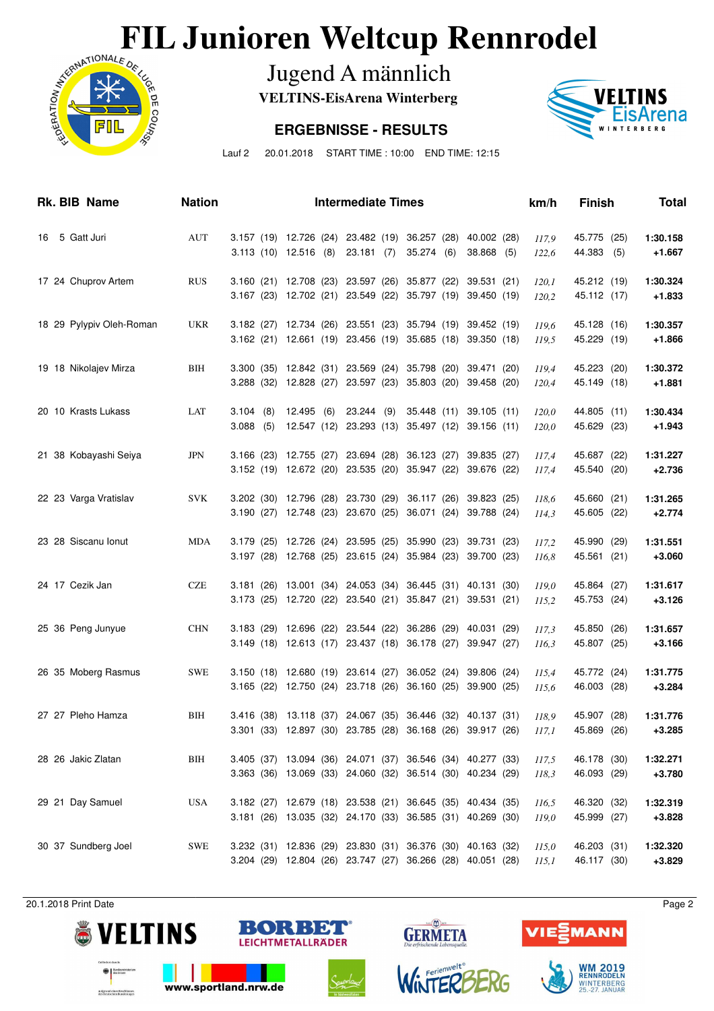# **FIL Junioren Weltcup Rennrodel**<br>Jugend A männlich<br>ERGEBNISSE - RESULTS



Jugend A männlich

**VELTINS-EisArena Winterberg**

### **ERGEBNISSE - RESULTS**



Lauf 2 20.01.2018 START TIME : 10:00 END TIME: 12:15

| Rk. BIB Name             | <b>Nation</b> |                              |            | <b>Intermediate Times</b>                                                            |                                                                                                                                | km/h           | <b>Finish</b>              | Total                |
|--------------------------|---------------|------------------------------|------------|--------------------------------------------------------------------------------------|--------------------------------------------------------------------------------------------------------------------------------|----------------|----------------------------|----------------------|
| 16 5 Gatt Juri           | AUT           |                              |            | 3.157 (19) 12.726 (24) 23.482 (19) 36.257 (28)<br>3.113 (10) 12.516 (8) 23.181 (7)   | 40.002 (28)<br>35.274 (6)<br>38.868 (5)                                                                                        | 117,9<br>122,6 | 45.775 (25)<br>44.383 (5)  | 1:30.158<br>$+1.667$ |
| 17 24 Chuprov Artem      | <b>RUS</b>    |                              |            |                                                                                      | 3.160 (21) 12.708 (23) 23.597 (26) 35.877 (22)<br>39.531 (21)<br>3.167 (23) 12.702 (21) 23.549 (22) 35.797 (19) 39.450 (19)    | 120,1<br>120,2 | 45.212 (19)<br>45.112 (17) | 1:30.324<br>$+1.833$ |
| 18 29 Pylypiv Oleh-Roman | <b>UKR</b>    |                              |            |                                                                                      | 3.182 (27) 12.734 (26) 23.551 (23) 35.794 (19) 39.452 (19)<br>3.162 (21) 12.661 (19) 23.456 (19) 35.685 (18) 39.350 (18)       | 119,6<br>119,5 | 45.128 (16)<br>45.229 (19) | 1:30.357<br>$+1.866$ |
| 19 18 Nikolajev Mirza    | <b>BIH</b>    |                              |            |                                                                                      | 3.300 (35) 12.842 (31) 23.569 (24) 35.798 (20)<br>39.471 (20)<br>3.288 (32) 12.828 (27) 23.597 (23) 35.803 (20)<br>39.458 (20) | 119,4<br>120,4 | 45.223 (20)<br>45.149 (18) | 1:30.372<br>$+1.881$ |
| 20 10 Krasts Lukass      | LAT           | 3.104<br>(8)<br>3.088<br>(5) | 12.495 (6) | 23.244 (9)                                                                           | 35.448 (11)<br>39.105(11)<br>12.547 (12) 23.293 (13) 35.497 (12)<br>39.156 (11)                                                | 120,0<br>120,0 | 44.805 (11)<br>45.629 (23) | 1:30.434<br>$+1.943$ |
| 21 38 Kobayashi Seiya    | <b>JPN</b>    |                              |            | 3.166 (23) 12.755 (27) 23.694 (28) 36.123 (27)<br>3.152 (19) 12.672 (20) 23.535 (20) | 39.835 (27)<br>35.947 (22)<br>39.676 (22)                                                                                      | 117,4<br>117,4 | 45.687 (22)<br>45.540 (20) | 1:31.227<br>$+2.736$ |
| 22 23 Varga Vratislav    | <b>SVK</b>    |                              |            | 3.202 (30) 12.796 (28) 23.730 (29)<br>3.190 (27) 12.748 (23) 23.670 (25)             | 36.117 (26)<br>39.823 (25)<br>36.071 (24)<br>39.788 (24)                                                                       | 118,6<br>114,3 | 45.660 (21)<br>45.605 (22) | 1:31.265<br>$+2.774$ |
| 23 28 Siscanu Ionut      | <b>MDA</b>    |                              |            | 3.179 (25) 12.726 (24) 23.595 (25) 35.990 (23)                                       | 39.731 (23)<br>3.197 (28) 12.768 (25) 23.615 (24) 35.984 (23)<br>39.700 (23)                                                   | 117,2<br>116,8 | 45.990 (29)<br>45.561 (21) | 1:31.551<br>$+3.060$ |
| 24 17 Cezik Jan          | <b>CZE</b>    |                              |            |                                                                                      | 3.181 (26) 13.001 (34) 24.053 (34) 36.445 (31) 40.131 (30)<br>3.173 (25) 12.720 (22) 23.540 (21) 35.847 (21) 39.531 (21)       | 119,0<br>115,2 | 45.864 (27)<br>45.753 (24) | 1:31.617<br>$+3.126$ |
| 25 36 Peng Junyue        | <b>CHN</b>    |                              |            |                                                                                      | 3.183 (29) 12.696 (22) 23.544 (22) 36.286 (29)<br>40.031 (29)<br>3.149 (18) 12.613 (17) 23.437 (18) 36.178 (27) 39.947 (27)    | 117,3<br>116,3 | 45.850 (26)<br>45.807 (25) | 1:31.657<br>$+3.166$ |
| 26 35 Moberg Rasmus      | <b>SWE</b>    |                              |            |                                                                                      | 3.150 (18) 12.680 (19) 23.614 (27) 36.052 (24)<br>39.806 (24)<br>3.165 (22) 12.750 (24) 23.718 (26) 36.160 (25) 39.900 (25)    | 115,4<br>115,6 | 45.772 (24)<br>46.003 (28) | 1:31.775<br>$+3.284$ |
| 27 27 Pleho Hamza        | BIH           |                              |            |                                                                                      | 3.416 (38) 13.118 (37) 24.067 (35) 36.446 (32) 40.137 (31)<br>3.301 (33) 12.897 (30) 23.785 (28) 36.168 (26) 39.917 (26)       | 118.9<br>117,1 | 45.907 (28)<br>45.869 (26) | 1:31.776<br>$+3.285$ |
| 28 26 Jakic Zlatan       | BIH           |                              |            |                                                                                      | 3.405 (37) 13.094 (36) 24.071 (37) 36.546 (34) 40.277 (33)<br>3.363 (36) 13.069 (33) 24.060 (32) 36.514 (30) 40.234 (29)       | 117,5<br>118,3 | 46.178 (30)<br>46.093 (29) | 1:32.271<br>$+3.780$ |
| 29 21 Day Samuel         | USA           |                              |            |                                                                                      | 3.182 (27) 12.679 (18) 23.538 (21) 36.645 (35) 40.434 (35)<br>3.181 (26) 13.035 (32) 24.170 (33) 36.585 (31) 40.269 (30)       | 116,5<br>119,0 | 46.320 (32)<br>45.999 (27) | 1:32.319<br>$+3.828$ |
| 30 37 Sundberg Joel      | <b>SWE</b>    |                              |            |                                                                                      | 3.232 (31) 12.836 (29) 23.830 (31) 36.376 (30) 40.163 (32)<br>3.204 (29) 12.804 (26) 23.747 (27) 36.266 (28) 40.051 (28)       | 115,0<br>115,1 | 46.203 (31)<br>46.117 (30) | 1:32.320<br>$+3.829$ |

20.1.2018 Print Date Page 2



aufgrund eines Bes



www.sportland.nrw.de





♦

**GERMETA**